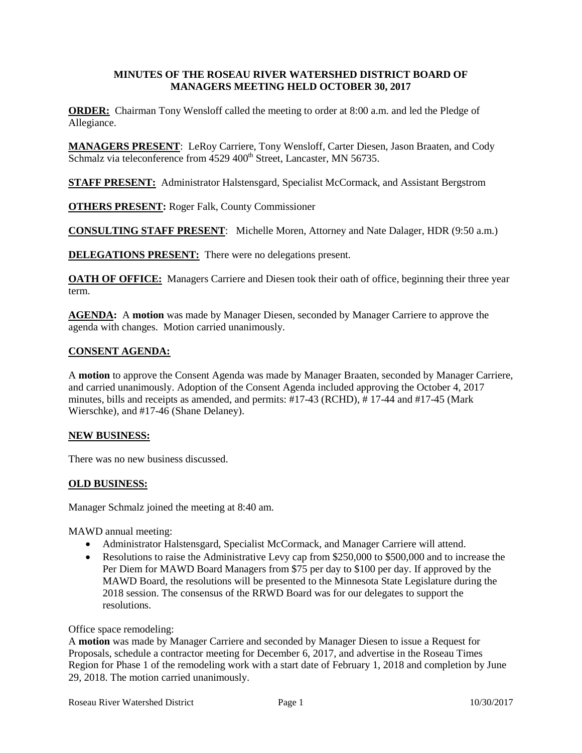# **MINUTES OF THE ROSEAU RIVER WATERSHED DISTRICT BOARD OF MANAGERS MEETING HELD OCTOBER 30, 2017**

**ORDER:** Chairman Tony Wensloff called the meeting to order at 8:00 a.m. and led the Pledge of Allegiance.

**MANAGERS PRESENT**: LeRoy Carriere, Tony Wensloff, Carter Diesen, Jason Braaten, and Cody Schmalz via teleconference from  $4529 400<sup>th</sup>$  Street, Lancaster, MN 56735.

**STAFF PRESENT:** Administrator Halstensgard, Specialist McCormack, and Assistant Bergstrom

**OTHERS PRESENT:** Roger Falk, County Commissioner

**CONSULTING STAFF PRESENT**: Michelle Moren, Attorney and Nate Dalager, HDR (9:50 a.m.)

**DELEGATIONS PRESENT:** There were no delegations present.

**OATH OF OFFICE:** Managers Carriere and Diesen took their oath of office, beginning their three year term.

**AGENDA:** A **motion** was made by Manager Diesen, seconded by Manager Carriere to approve the agenda with changes. Motion carried unanimously.

# **CONSENT AGENDA:**

A **motion** to approve the Consent Agenda was made by Manager Braaten, seconded by Manager Carriere, and carried unanimously. Adoption of the Consent Agenda included approving the October 4, 2017 minutes, bills and receipts as amended, and permits: #17-43 (RCHD), # 17-44 and #17-45 (Mark Wierschke), and #17-46 (Shane Delaney).

# **NEW BUSINESS:**

There was no new business discussed.

# **OLD BUSINESS:**

Manager Schmalz joined the meeting at 8:40 am.

MAWD annual meeting:

- Administrator Halstensgard, Specialist McCormack, and Manager Carriere will attend.
- Resolutions to raise the Administrative Levy cap from \$250,000 to \$500,000 and to increase the Per Diem for MAWD Board Managers from \$75 per day to \$100 per day. If approved by the MAWD Board, the resolutions will be presented to the Minnesota State Legislature during the 2018 session. The consensus of the RRWD Board was for our delegates to support the resolutions.

Office space remodeling:

A **motion** was made by Manager Carriere and seconded by Manager Diesen to issue a Request for Proposals, schedule a contractor meeting for December 6, 2017, and advertise in the Roseau Times Region for Phase 1 of the remodeling work with a start date of February 1, 2018 and completion by June 29, 2018. The motion carried unanimously.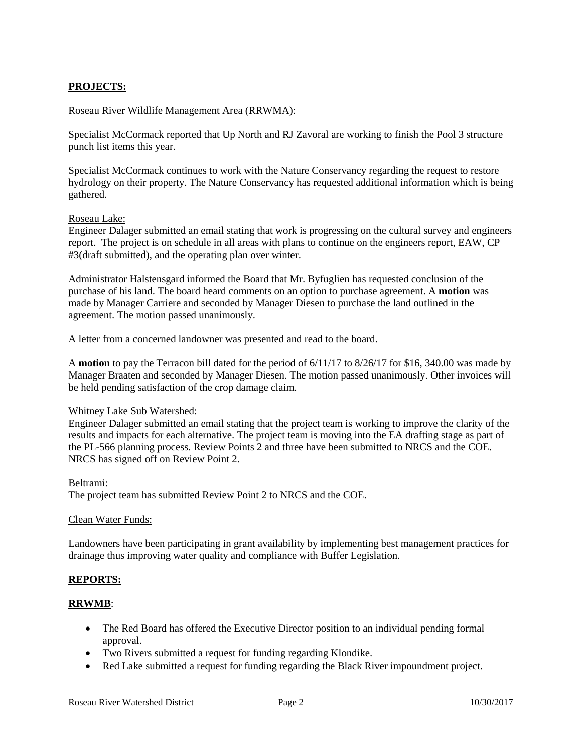# **PROJECTS:**

#### Roseau River Wildlife Management Area (RRWMA):

Specialist McCormack reported that Up North and RJ Zavoral are working to finish the Pool 3 structure punch list items this year.

Specialist McCormack continues to work with the Nature Conservancy regarding the request to restore hydrology on their property. The Nature Conservancy has requested additional information which is being gathered.

#### Roseau Lake:

Engineer Dalager submitted an email stating that work is progressing on the cultural survey and engineers report. The project is on schedule in all areas with plans to continue on the engineers report, EAW, CP #3(draft submitted), and the operating plan over winter.

Administrator Halstensgard informed the Board that Mr. Byfuglien has requested conclusion of the purchase of his land. The board heard comments on an option to purchase agreement. A **motion** was made by Manager Carriere and seconded by Manager Diesen to purchase the land outlined in the agreement. The motion passed unanimously.

A letter from a concerned landowner was presented and read to the board.

A **motion** to pay the Terracon bill dated for the period of 6/11/17 to 8/26/17 for \$16, 340.00 was made by Manager Braaten and seconded by Manager Diesen. The motion passed unanimously. Other invoices will be held pending satisfaction of the crop damage claim.

#### Whitney Lake Sub Watershed:

Engineer Dalager submitted an email stating that the project team is working to improve the clarity of the results and impacts for each alternative. The project team is moving into the EA drafting stage as part of the PL-566 planning process. Review Points 2 and three have been submitted to NRCS and the COE. NRCS has signed off on Review Point 2.

#### Beltrami:

The project team has submitted Review Point 2 to NRCS and the COE.

#### Clean Water Funds:

Landowners have been participating in grant availability by implementing best management practices for drainage thus improving water quality and compliance with Buffer Legislation.

# **REPORTS:**

#### **RRWMB**:

- The Red Board has offered the Executive Director position to an individual pending formal approval.
- Two Rivers submitted a request for funding regarding Klondike.
- Red Lake submitted a request for funding regarding the Black River impoundment project.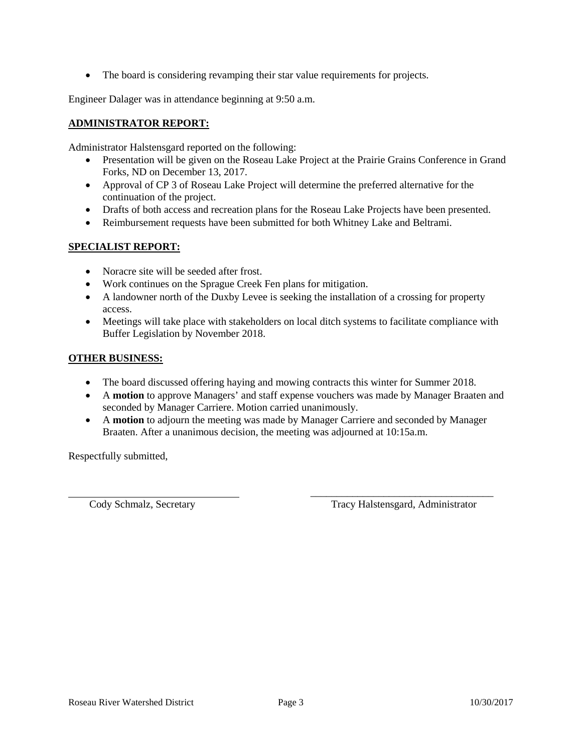• The board is considering revamping their star value requirements for projects.

Engineer Dalager was in attendance beginning at 9:50 a.m.

# **ADMINISTRATOR REPORT:**

Administrator Halstensgard reported on the following:

- Presentation will be given on the Roseau Lake Project at the Prairie Grains Conference in Grand Forks, ND on December 13, 2017.
- Approval of CP 3 of Roseau Lake Project will determine the preferred alternative for the continuation of the project.
- Drafts of both access and recreation plans for the Roseau Lake Projects have been presented.
- Reimbursement requests have been submitted for both Whitney Lake and Beltrami.

# **SPECIALIST REPORT:**

- Noracre site will be seeded after frost.
- Work continues on the Sprague Creek Fen plans for mitigation.
- A landowner north of the Duxby Levee is seeking the installation of a crossing for property access.
- Meetings will take place with stakeholders on local ditch systems to facilitate compliance with Buffer Legislation by November 2018.

# **OTHER BUSINESS:**

- The board discussed offering haying and mowing contracts this winter for Summer 2018.
- A **motion** to approve Managers' and staff expense vouchers was made by Manager Braaten and seconded by Manager Carriere. Motion carried unanimously.
- A **motion** to adjourn the meeting was made by Manager Carriere and seconded by Manager Braaten. After a unanimous decision, the meeting was adjourned at 10:15a.m.

Respectfully submitted,

\_\_\_\_\_\_\_\_\_\_\_\_\_\_\_\_\_\_\_\_\_\_\_\_\_\_\_\_\_\_\_\_\_\_\_ Cody Schmalz, Secretary Tracy Halstensgard, Administrator